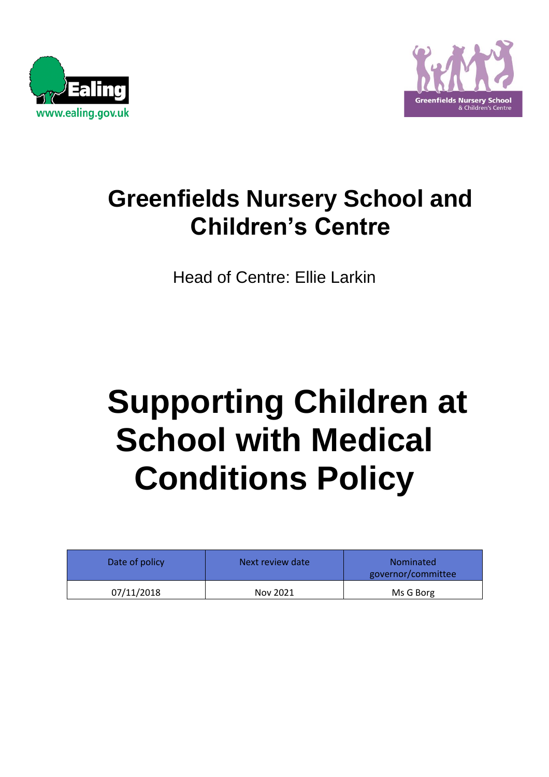



## **Greenfields Nursery School and Children's Centre**

Head of Centre: Ellie Larkin

# **Supporting Children at School with Medical Conditions Policy**

| Date of policy | Next review date | <b>Nominated</b><br>governor/committee |
|----------------|------------------|----------------------------------------|
| 07/11/2018     | Nov 2021         | Ms G Borg                              |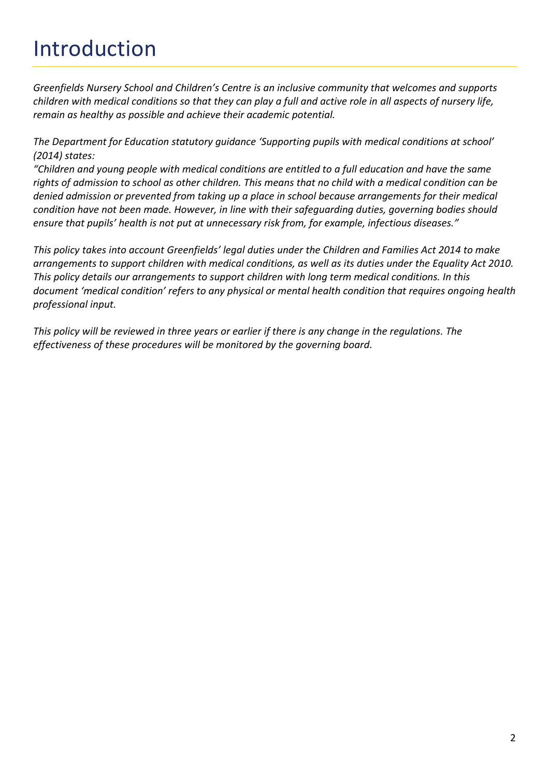## Introduction

*Greenfields Nursery School and Children's Centre is an inclusive community that welcomes and supports children with medical conditions so that they can play a full and active role in all aspects of nursery life, remain as healthy as possible and achieve their academic potential.* 

*The Department for Education statutory guidance 'Supporting pupils with medical conditions at school' (2014) states:*

*"Children and young people with medical conditions are entitled to a full education and have the same rights of admission to school as other children. This means that no child with a medical condition can be denied admission or prevented from taking up a place in school because arrangements for their medical condition have not been made. However, in line with their safeguarding duties, governing bodies should ensure that pupils' health is not put at unnecessary risk from, for example, infectious diseases."*

*This policy takes into account Greenfields' legal duties under the Children and Families Act 2014 to make arrangements to support children with medical conditions, as well as its duties under the Equality Act 2010. This policy details our arrangements to support children with long term medical conditions. In this document 'medical condition' refers to any physical or mental health condition that requires ongoing health professional input.* 

*This policy will be reviewed in three years or earlier if there is any change in the regulations. The effectiveness of these procedures will be monitored by the governing board.*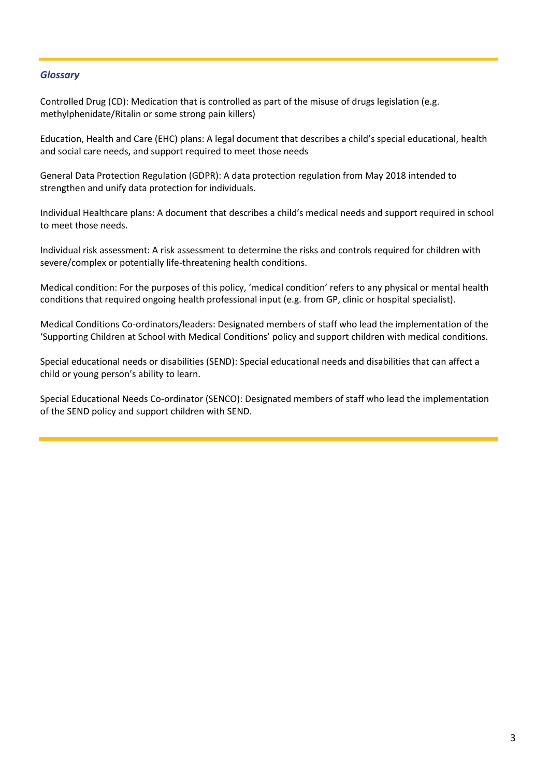#### *Glossary*

Controlled Drug (CD): Medication that is controlled as part of the misuse of drugs legislation (e.g. methylphenidate/Ritalin or some strong pain killers)

Education, Health and Care (EHC) plans: A legal document that describes a child's special educational, health and social care needs, and support required to meet those needs

General Data Protection Regulation (GDPR): A data protection regulation from May 2018 intended to strengthen and unify data protection for individuals.

Individual Healthcare plans: A document that describes a child's medical needs and support required in school to meet those needs.

Individual risk assessment: A risk assessment to determine the risks and controls required for children with severe/complex or potentially life-threatening health conditions.

Medical condition: For the purposes of this policy, 'medical condition' refers to any physical or mental health conditions that required ongoing health professional input (e.g. from GP, clinic or hospital specialist).

Medical Conditions Co-ordinators/leaders: Designated members of staff who lead the implementation of the 'Supporting Children at School with Medical Conditions' policy and support children with medical conditions.

Special educational needs or disabilities (SEND): Special educational needs and disabilities that can affect a child or young person's ability to learn.

Special Educational Needs Co-ordinator (SENCO): Designated members of staff who lead the implementation of the SEND policy and support children with SEND.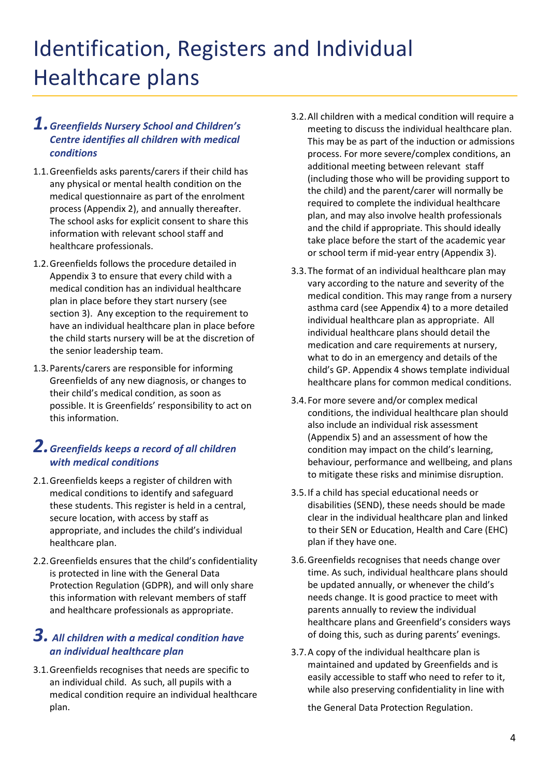## Identification, Registers and Individual Healthcare plans

#### *1.Greenfields Nursery School and Children's Centre identifies all children with medical conditions*

- 1.1.Greenfields asks parents/carers if their child has any physical or mental health condition on the medical questionnaire as part of the enrolment process (Appendix 2), and annually thereafter. The school asks for explicit consent to share this information with relevant school staff and healthcare professionals.
- 1.2.Greenfields follows the procedure detailed in Appendix 3 to ensure that every child with a medical condition has an individual healthcare plan in place before they start nursery (see section 3). Any exception to the requirement to have an individual healthcare plan in place before the child starts nursery will be at the discretion of the senior leadership team.
- 1.3.Parents/carers are responsible for informing Greenfields of any new diagnosis, or changes to their child's medical condition, as soon as possible. It is Greenfields' responsibility to act on this information.

#### *2.Greenfields keeps a record of all children with medical conditions*

- 2.1.Greenfields keeps a register of children with medical conditions to identify and safeguard these students. This register is held in a central, secure location, with access by staff as appropriate, and includes the child's individual healthcare plan.
- 2.2.Greenfields ensures that the child's confidentiality is protected in line with the General Data Protection Regulation (GDPR), and will only share this information with relevant members of staff and healthcare professionals as appropriate.

#### *3. All children with a medical condition have an individual healthcare plan*

3.1.Greenfields recognises that needs are specific to an individual child. As such, all pupils with a medical condition require an individual healthcare plan.

- 3.2.All children with a medical condition will require a meeting to discuss the individual healthcare plan. This may be as part of the induction or admissions process. For more severe/complex conditions, an additional meeting between relevant staff (including those who will be providing support to the child) and the parent/carer will normally be required to complete the individual healthcare plan, and may also involve health professionals and the child if appropriate. This should ideally take place before the start of the academic year or school term if mid-year entry (Appendix 3).
- 3.3.The format of an individual healthcare plan may vary according to the nature and severity of the medical condition. This may range from a nursery asthma card (see Appendix 4) to a more detailed individual healthcare plan as appropriate. All individual healthcare plans should detail the medication and care requirements at nursery, what to do in an emergency and details of the child's GP. Appendix 4 shows template individual healthcare plans for common medical conditions.
- 3.4.For more severe and/or complex medical conditions, the individual healthcare plan should also include an individual risk assessment (Appendix 5) and an assessment of how the condition may impact on the child's learning, behaviour, performance and wellbeing, and plans to mitigate these risks and minimise disruption.
- 3.5.If a child has special educational needs or disabilities (SEND), these needs should be made clear in the individual healthcare plan and linked to their SEN or Education, Health and Care (EHC) plan if they have one.
- 3.6.Greenfields recognises that needs change over time. As such, individual healthcare plans should be updated annually, or whenever the child's needs change. It is good practice to meet with parents annually to review the individual healthcare plans and Greenfield's considers ways of doing this, such as during parents' evenings.
- 3.7.A copy of the individual healthcare plan is maintained and updated by Greenfields and is easily accessible to staff who need to refer to it, while also preserving confidentiality in line with

the General Data Protection Regulation.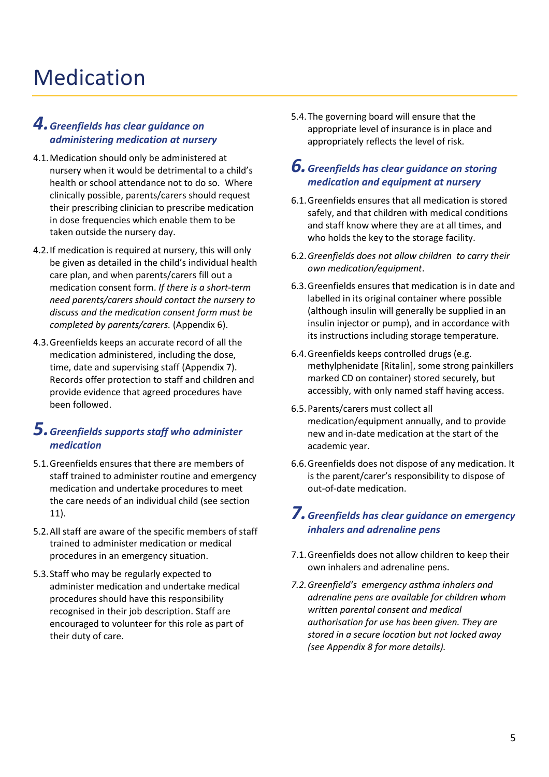## Medication

#### *4.Greenfields has clear guidance on administering medication at nursery*

- 4.1.Medication should only be administered at nursery when it would be detrimental to a child's health or school attendance not to do so. Where clinically possible, parents/carers should request their prescribing clinician to prescribe medication in dose frequencies which enable them to be taken outside the nursery day.
- 4.2.If medication is required at nursery, this will only be given as detailed in the child's individual health care plan, and when parents/carers fill out a medication consent form. *If there is a short-term need parents/carers should contact the nursery to discuss and the medication consent form must be completed by parents/carers.* (Appendix 6).
- 4.3.Greenfields keeps an accurate record of all the medication administered, including the dose, time, date and supervising staff (Appendix 7). Records offer protection to staff and children and provide evidence that agreed procedures have been followed.

#### *5.Greenfields supports staff who administer medication*

- 5.1.Greenfields ensures that there are members of staff trained to administer routine and emergency medication and undertake procedures to meet the care needs of an individual child (see section 11).
- 5.2.All staff are aware of the specific members of staff trained to administer medication or medical procedures in an emergency situation.
- 5.3.Staff who may be regularly expected to administer medication and undertake medical procedures should have this responsibility recognised in their job description. Staff are encouraged to volunteer for this role as part of their duty of care.

5.4.The governing board will ensure that the appropriate level of insurance is in place and appropriately reflects the level of risk.

#### *6.Greenfields has clear guidance on storing medication and equipment at nursery*

- 6.1.Greenfields ensures that all medication is stored safely, and that children with medical conditions and staff know where they are at all times, and who holds the key to the storage facility.
- 6.2.*Greenfields does not allow children to carry their own medication/equipment*.
- 6.3.Greenfields ensures that medication is in date and labelled in its original container where possible (although insulin will generally be supplied in an insulin injector or pump), and in accordance with its instructions including storage temperature.
- 6.4.Greenfields keeps controlled drugs (e.g. methylphenidate [Ritalin], some strong painkillers marked CD on container) stored securely, but accessibly, with only named staff having access.
- 6.5.Parents/carers must collect all medication/equipment annually, and to provide new and in-date medication at the start of the academic year.
- 6.6.Greenfields does not dispose of any medication. It is the parent/carer's responsibility to dispose of out-of-date medication.

#### *7.Greenfields has clear guidance on emergency inhalers and adrenaline pens*

- 7.1.Greenfields does not allow children to keep their own inhalers and adrenaline pens.
- *7.2.Greenfield's emergency asthma inhalers and adrenaline pens are available for children whom written parental consent and medical authorisation for use has been given. They are stored in a secure location but not locked away (see Appendix 8 for more details).*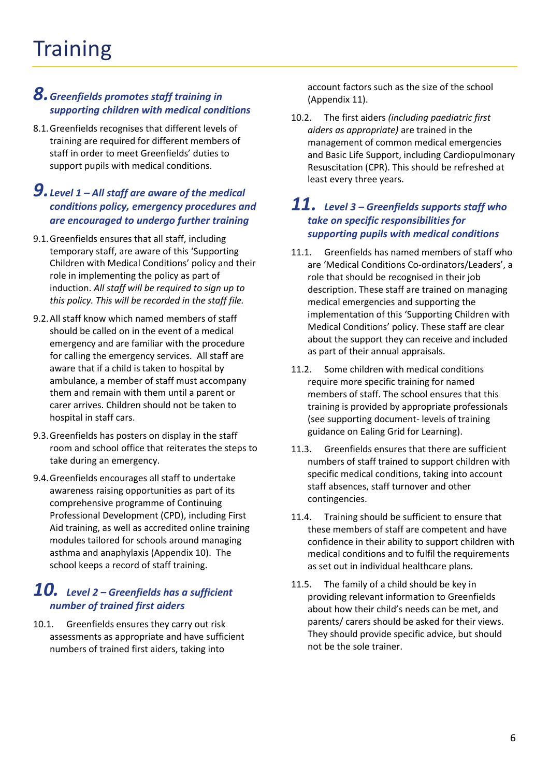#### *8.Greenfields promotes staff training in supporting children with medical conditions*

8.1.Greenfields recognises that different levels of training are required for different members of staff in order to meet Greenfields' duties to support pupils with medical conditions.

#### *9.Level 1 – All staff are aware of the medical conditions policy, emergency procedures and are encouraged to undergo further training*

- 9.1.Greenfields ensures that all staff, including temporary staff, are aware of this 'Supporting Children with Medical Conditions' policy and their role in implementing the policy as part of induction. *All staff will be required to sign up to this policy. This will be recorded in the staff file.*
- 9.2.All staff know which named members of staff should be called on in the event of a medical emergency and are familiar with the procedure for calling the emergency services. All staff are aware that if a child is taken to hospital by ambulance, a member of staff must accompany them and remain with them until a parent or carer arrives. Children should not be taken to hospital in staff cars.
- 9.3.Greenfields has posters on display in the staff room and school office that reiterates the steps to take during an emergency.
- 9.4.Greenfields encourages all staff to undertake awareness raising opportunities as part of its comprehensive programme of Continuing Professional Development (CPD), including First Aid training, as well as accredited online training modules tailored for schools around managing asthma and anaphylaxis (Appendix 10). The school keeps a record of staff training.

#### *10. Level 2 – Greenfields has a sufficient number of trained first aiders*

10.1. Greenfields ensures they carry out risk assessments as appropriate and have sufficient numbers of trained first aiders, taking into

account factors such as the size of the school (Appendix 11).

10.2. The first aiders *(including paediatric first aiders as appropriate)* are trained in the management of common medical emergencies and Basic Life Support, including Cardiopulmonary Resuscitation (CPR). This should be refreshed at least every three years.

#### *11. Level 3 – Greenfields supports staff who take on specific responsibilities for supporting pupils with medical conditions*

- 11.1. Greenfields has named members of staff who are 'Medical Conditions Co-ordinators/Leaders', a role that should be recognised in their job description. These staff are trained on managing medical emergencies and supporting the implementation of this 'Supporting Children with Medical Conditions' policy. These staff are clear about the support they can receive and included as part of their annual appraisals.
- 11.2. Some children with medical conditions require more specific training for named members of staff. The school ensures that this training is provided by appropriate professionals (see supporting document- levels of training guidance on Ealing Grid for Learning).
- 11.3. Greenfields ensures that there are sufficient numbers of staff trained to support children with specific medical conditions, taking into account staff absences, staff turnover and other contingencies.
- 11.4. Training should be sufficient to ensure that these members of staff are competent and have confidence in their ability to support children with medical conditions and to fulfil the requirements as set out in individual healthcare plans.
- 11.5. The family of a child should be key in providing relevant information to Greenfields about how their child's needs can be met, and parents/ carers should be asked for their views. They should provide specific advice, but should not be the sole trainer.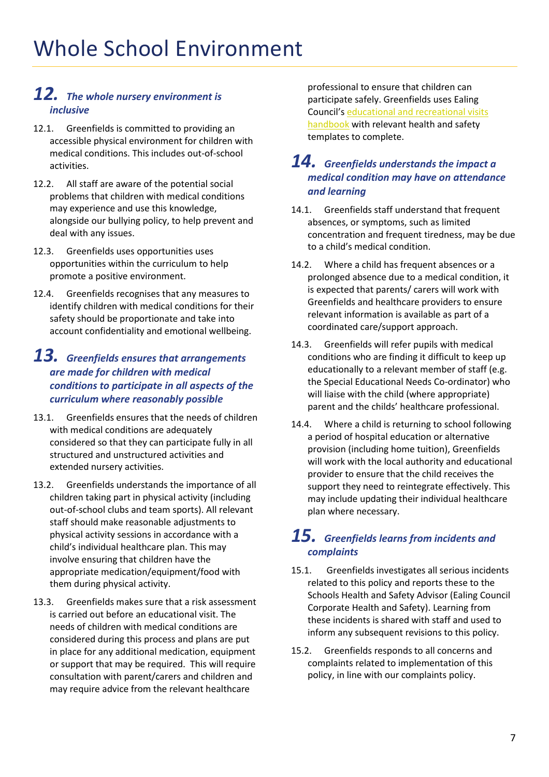#### *12. The whole nursery environment is inclusive*

- 12.1. Greenfields is committed to providing an accessible physical environment for children with medical conditions. This includes out-of-school activities.
- 12.2. All staff are aware of the potential social problems that children with medical conditions may experience and use this knowledge, alongside our bullying policy, to help prevent and deal with any issues.
- 12.3. Greenfields uses opportunities uses opportunities within the curriculum to help promote a positive environment.
- 12.4. Greenfields recognises that any measures to identify children with medical conditions for their safety should be proportionate and take into account confidentiality and emotional wellbeing.

#### *13. Greenfields ensures that arrangements are made for children with medical conditions to participate in all aspects of the curriculum where reasonably possible*

- 13.1. Greenfields ensures that the needs of children with medical conditions are adequately considered so that they can participate fully in all structured and unstructured activities and extended nursery activities.
- 13.2. Greenfields understands the importance of all children taking part in physical activity (including out-of-school clubs and team sports). All relevant staff should make reasonable adjustments to physical activity sessions in accordance with a child's individual healthcare plan. This may involve ensuring that children have the appropriate medication/equipment/food with them during physical activity.
- 13.3. Greenfields makes sure that a risk assessment is carried out before an educational visit. The needs of children with medical conditions are considered during this process and plans are put in place for any additional medication, equipment or support that may be required. This will require consultation with parent/carers and children and may require advice from the relevant healthcare

professional to ensure that children can participate safely. Greenfields uses Ealing Council's [educational and recreational visits](https://www.egfl.org.uk/facilities/emergency-planning/educational-and-recreational-visits)  [handbook](https://www.egfl.org.uk/facilities/emergency-planning/educational-and-recreational-visits) with relevant health and safety templates to complete.

#### *14. Greenfields understands the impact a medical condition may have on attendance and learning*

- 14.1. Greenfields staff understand that frequent absences, or symptoms, such as limited concentration and frequent tiredness, may be due to a child's medical condition.
- 14.2. Where a child has frequent absences or a prolonged absence due to a medical condition, it is expected that parents/ carers will work with Greenfields and healthcare providers to ensure relevant information is available as part of a coordinated care/support approach.
- 14.3. Greenfields will refer pupils with medical conditions who are finding it difficult to keep up educationally to a relevant member of staff (e.g. the Special Educational Needs Co-ordinator) who will liaise with the child (where appropriate) parent and the childs' healthcare professional.
- 14.4. Where a child is returning to school following a period of hospital education or alternative provision (including home tuition), Greenfields will work with the local authority and educational provider to ensure that the child receives the support they need to reintegrate effectively. This may include updating their individual healthcare plan where necessary.

#### *15. Greenfields learns from incidents and complaints*

- 15.1. Greenfields investigates all serious incidents related to this policy and reports these to the Schools Health and Safety Advisor (Ealing Council Corporate Health and Safety). Learning from these incidents is shared with staff and used to inform any subsequent revisions to this policy.
- 15.2. Greenfields responds to all concerns and complaints related to implementation of this policy, in line with our complaints policy.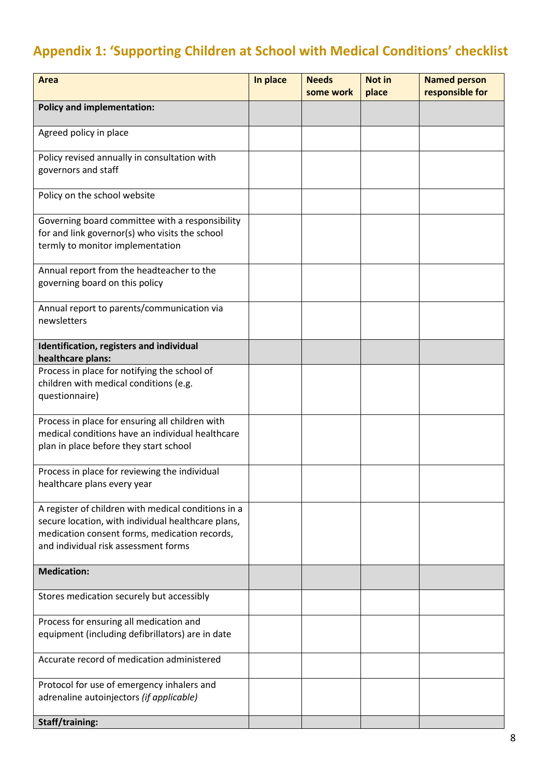## **Appendix 1: 'Supporting Children at School with Medical Conditions' checklist**

| <b>Area</b>                                                                                                                                                                                        | In place | <b>Needs</b><br>some work | Not in<br>place | <b>Named person</b><br>responsible for |
|----------------------------------------------------------------------------------------------------------------------------------------------------------------------------------------------------|----------|---------------------------|-----------------|----------------------------------------|
| <b>Policy and implementation:</b>                                                                                                                                                                  |          |                           |                 |                                        |
| Agreed policy in place                                                                                                                                                                             |          |                           |                 |                                        |
| Policy revised annually in consultation with<br>governors and staff                                                                                                                                |          |                           |                 |                                        |
| Policy on the school website                                                                                                                                                                       |          |                           |                 |                                        |
| Governing board committee with a responsibility<br>for and link governor(s) who visits the school<br>termly to monitor implementation                                                              |          |                           |                 |                                        |
| Annual report from the headteacher to the<br>governing board on this policy                                                                                                                        |          |                           |                 |                                        |
| Annual report to parents/communication via<br>newsletters                                                                                                                                          |          |                           |                 |                                        |
| Identification, registers and individual<br>healthcare plans:                                                                                                                                      |          |                           |                 |                                        |
| Process in place for notifying the school of<br>children with medical conditions (e.g.<br>questionnaire)                                                                                           |          |                           |                 |                                        |
| Process in place for ensuring all children with<br>medical conditions have an individual healthcare<br>plan in place before they start school                                                      |          |                           |                 |                                        |
| Process in place for reviewing the individual<br>healthcare plans every year                                                                                                                       |          |                           |                 |                                        |
| A register of children with medical conditions in a<br>secure location, with individual healthcare plans,<br>medication consent forms, medication records,<br>and individual risk assessment forms |          |                           |                 |                                        |
| <b>Medication:</b>                                                                                                                                                                                 |          |                           |                 |                                        |
| Stores medication securely but accessibly                                                                                                                                                          |          |                           |                 |                                        |
| Process for ensuring all medication and<br>equipment (including defibrillators) are in date                                                                                                        |          |                           |                 |                                        |
| Accurate record of medication administered                                                                                                                                                         |          |                           |                 |                                        |
| Protocol for use of emergency inhalers and<br>adrenaline autoinjectors (if applicable)                                                                                                             |          |                           |                 |                                        |
| Staff/training:                                                                                                                                                                                    |          |                           |                 |                                        |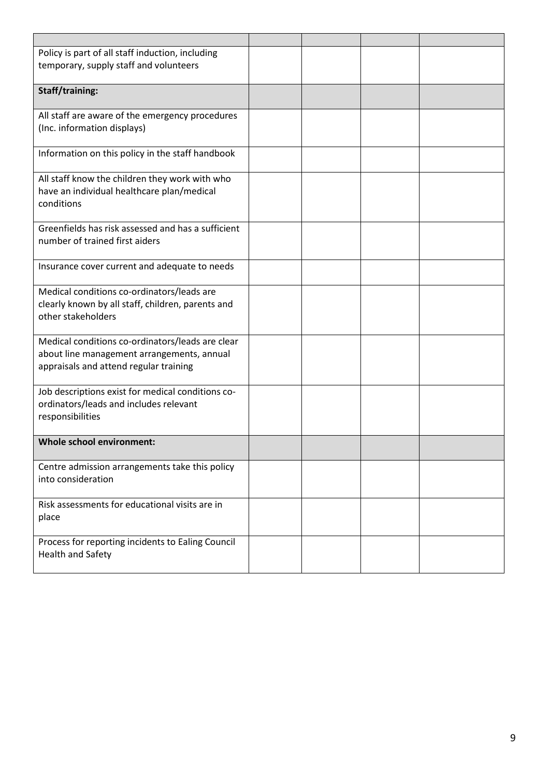| Policy is part of all staff induction, including   |  |  |
|----------------------------------------------------|--|--|
| temporary, supply staff and volunteers             |  |  |
|                                                    |  |  |
| Staff/training:                                    |  |  |
| All staff are aware of the emergency procedures    |  |  |
| (Inc. information displays)                        |  |  |
| Information on this policy in the staff handbook   |  |  |
| All staff know the children they work with who     |  |  |
| have an individual healthcare plan/medical         |  |  |
| conditions                                         |  |  |
| Greenfields has risk assessed and has a sufficient |  |  |
| number of trained first aiders                     |  |  |
|                                                    |  |  |
| Insurance cover current and adequate to needs      |  |  |
| Medical conditions co-ordinators/leads are         |  |  |
| clearly known by all staff, children, parents and  |  |  |
| other stakeholders                                 |  |  |
| Medical conditions co-ordinators/leads are clear   |  |  |
| about line management arrangements, annual         |  |  |
| appraisals and attend regular training             |  |  |
|                                                    |  |  |
| Job descriptions exist for medical conditions co-  |  |  |
| ordinators/leads and includes relevant             |  |  |
| responsibilities                                   |  |  |
| <b>Whole school environment:</b>                   |  |  |
|                                                    |  |  |
| Centre admission arrangements take this policy     |  |  |
| into consideration                                 |  |  |
| Risk assessments for educational visits are in     |  |  |
| place                                              |  |  |
|                                                    |  |  |
| Process for reporting incidents to Ealing Council  |  |  |
| <b>Health and Safety</b>                           |  |  |
|                                                    |  |  |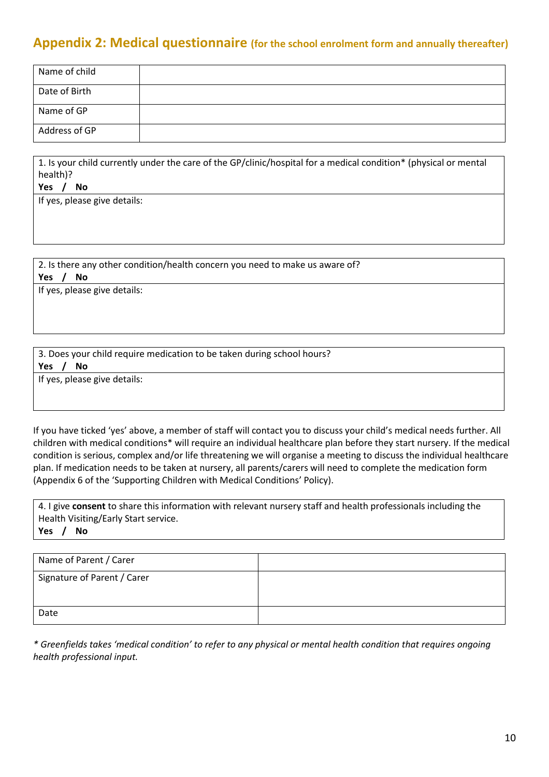### **Appendix 2: Medical questionnaire (for the school enrolment form and annually thereafter)**

| Name of child |  |
|---------------|--|
| Date of Birth |  |
| Name of GP    |  |
| Address of GP |  |

1. 1. Is your child currently under the care of the GP/clinic/hospital for a medical condition\* (physical or mental health)?

**Yes / No** 

If yes, please give details:

2. Is there any other condition/health concern you need to make us aware of? **Yes / No** 

If yes, please give details:

3. 3. Does your child require medication to be taken during school hours? **Yes / No** 

If yes, please give details:

If you have ticked 'yes' above, a member of staff will contact you to discuss your child's medical needs further. All children with medical conditions\* will require an individual healthcare plan before they start nursery. If the medical condition is serious, complex and/or life threatening we will organise a meeting to discuss the individual healthcare plan. If medication needs to be taken at nursery, all parents/carers will need to complete the medication form (Appendix 6 of the 'Supporting Children with Medical Conditions' Policy).

4. 4. I give **consent** to share this information with relevant nursery staff and health professionals including the Health Visiting/Early Start service. **Yes / No** 

| Name of Parent / Carer      |  |
|-----------------------------|--|
| Signature of Parent / Carer |  |
| Date                        |  |

*\* Greenfields takes 'medical condition' to refer to any physical or mental health condition that requires ongoing health professional input.*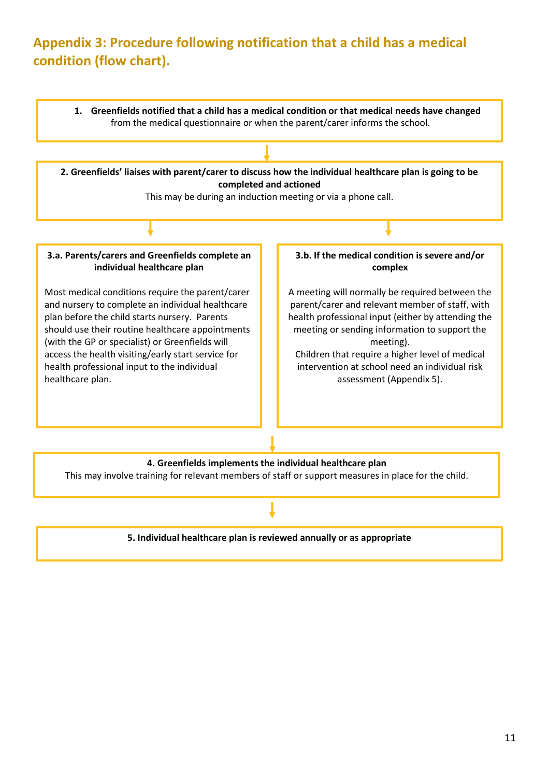## **Appendix 3: Procedure following notification that a child has a medical condition (flow chart).**

**1. Greenfields notified that a child has a medical condition or that medical needs have changed** from the medical questionnaire or when the parent/carer informs the school.

**2. Greenfields' liaises with parent/carer to discuss how the individual healthcare plan is going to be completed and actioned**

This may be during an induction meeting or via a phone call.

**3.a. Parents/carers and Greenfields complete an individual healthcare plan**

Most medical conditions require the parent/carer and nursery to complete an individual healthcare plan before the child starts nursery. Parents should use their routine healthcare appointments (with the GP or specialist) or Greenfields will access the health visiting/early start service for health professional input to the individual healthcare plan.

#### **3.b. If the medical condition is severe and/or complex**

A meeting will normally be required between the parent/carer and relevant member of staff, with health professional input (either by attending the meeting or sending information to support the meeting).

Children that require a higher level of medical intervention at school need an individual risk assessment (Appendix 5).

#### **4. Greenfields implements the individual healthcare plan**

This may involve training for relevant members of staff or support measures in place for the child.

#### **5. Individual healthcare plan is reviewed annually or as appropriate**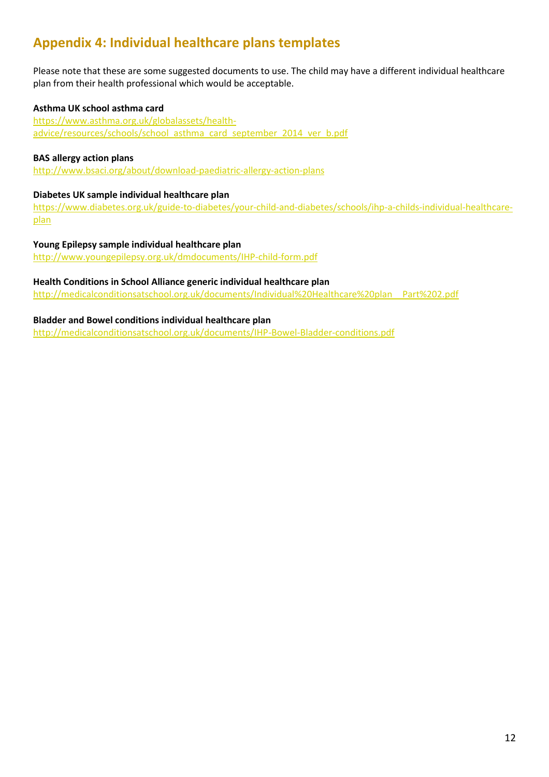## **Appendix 4: Individual healthcare plans templates**

Please note that these are some suggested documents to use. The child may have a different individual healthcare plan from their health professional which would be acceptable.

#### **Asthma UK school asthma card**

[https://www.asthma.org.uk/globalassets/health](https://www.asthma.org.uk/globalassets/health-advice/resources/schools/school_asthma_card_september_2014_ver_b.pdf)[advice/resources/schools/school\\_asthma\\_card\\_september\\_2014\\_ver\\_b.pdf](https://www.asthma.org.uk/globalassets/health-advice/resources/schools/school_asthma_card_september_2014_ver_b.pdf)

#### **BAS allergy action plans**

<http://www.bsaci.org/about/download-paediatric-allergy-action-plans>

#### **Diabetes UK sample individual healthcare plan**

[https://www.diabetes.org.uk/guide-to-diabetes/your-child-and-diabetes/schools/ihp-a-childs-individual-healthcare](https://www.diabetes.org.uk/guide-to-diabetes/your-child-and-diabetes/schools/ihp-a-childs-individual-healthcare-plan)[plan](https://www.diabetes.org.uk/guide-to-diabetes/your-child-and-diabetes/schools/ihp-a-childs-individual-healthcare-plan)

**Young Epilepsy sample individual healthcare plan** <http://www.youngepilepsy.org.uk/dmdocuments/IHP-child-form.pdf>

#### **Health Conditions in School Alliance generic individual healthcare plan**

[http://medicalconditionsatschool.org.uk/documents/Individual%20Healthcare%20plan\\_\\_Part%202.pdf](http://medicalconditionsatschool.org.uk/documents/Individual%20Healthcare%20plan__Part%202.pdf)

#### **Bladder and Bowel conditions individual healthcare plan**

<http://medicalconditionsatschool.org.uk/documents/IHP-Bowel-Bladder-conditions.pdf>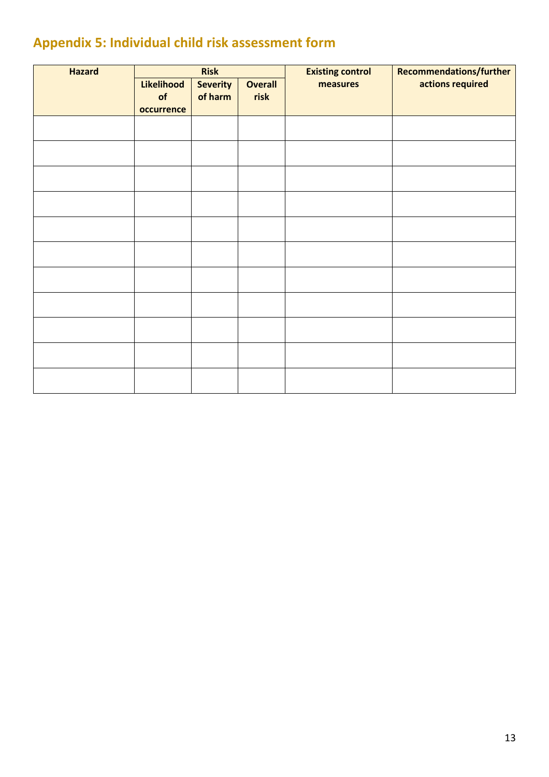## **Appendix 5: Individual child risk assessment form**

| <b>Hazard</b> | <b>Risk</b>                    |                            | <b>Existing control</b> | <b>Recommendations/further</b> |                  |
|---------------|--------------------------------|----------------------------|-------------------------|--------------------------------|------------------|
|               | Likelihood<br>of<br>occurrence | <b>Severity</b><br>of harm | <b>Overall</b><br>risk  | measures                       | actions required |
|               |                                |                            |                         |                                |                  |
|               |                                |                            |                         |                                |                  |
|               |                                |                            |                         |                                |                  |
|               |                                |                            |                         |                                |                  |
|               |                                |                            |                         |                                |                  |
|               |                                |                            |                         |                                |                  |
|               |                                |                            |                         |                                |                  |
|               |                                |                            |                         |                                |                  |
|               |                                |                            |                         |                                |                  |
|               |                                |                            |                         |                                |                  |
|               |                                |                            |                         |                                |                  |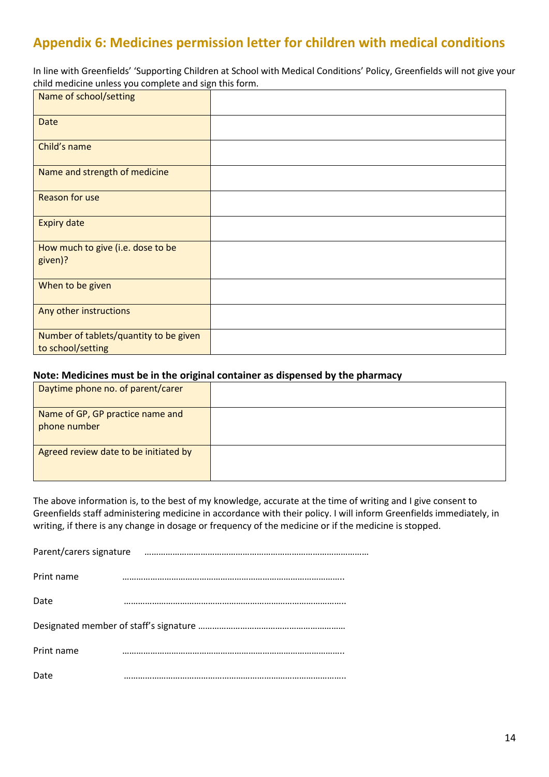## **Appendix 6: Medicines permission letter for children with medical conditions**

In line with Greenfields' 'Supporting Children at School with Medical Conditions' Policy, Greenfields will not give your child medicine unless you complete and sign this form.

| Name of school/setting                                      |  |
|-------------------------------------------------------------|--|
| <b>Date</b>                                                 |  |
| Child's name                                                |  |
| Name and strength of medicine                               |  |
| <b>Reason for use</b>                                       |  |
| <b>Expiry date</b>                                          |  |
| How much to give (i.e. dose to be<br>given)?                |  |
| When to be given                                            |  |
| Any other instructions                                      |  |
| Number of tablets/quantity to be given<br>to school/setting |  |

#### **Note: Medicines must be in the original container as dispensed by the pharmacy**

| Daytime phone no. of parent/carer                |  |
|--------------------------------------------------|--|
| Name of GP, GP practice name and<br>phone number |  |
| Agreed review date to be initiated by            |  |

The above information is, to the best of my knowledge, accurate at the time of writing and I give consent to Greenfields staff administering medicine in accordance with their policy. I will inform Greenfields immediately, in writing, if there is any change in dosage or frequency of the medicine or if the medicine is stopped.

| Parent/carers signature |  |  |  |  |
|-------------------------|--|--|--|--|
|                         |  |  |  |  |
| Print name              |  |  |  |  |
| Date                    |  |  |  |  |
|                         |  |  |  |  |
| Print name              |  |  |  |  |
| Date                    |  |  |  |  |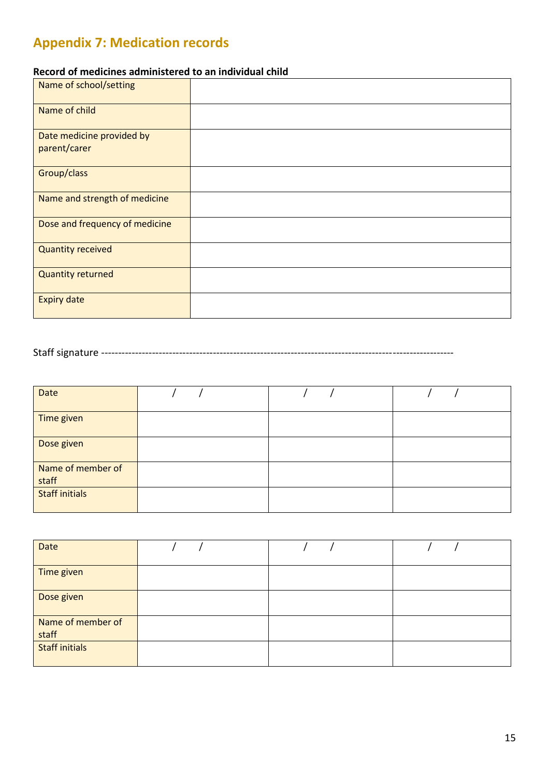## **Appendix 7: Medication records**

#### **Record of medicines administered to an individual child**

| Name of school/setting                    |  |
|-------------------------------------------|--|
| Name of child                             |  |
| Date medicine provided by<br>parent/carer |  |
| Group/class                               |  |
| Name and strength of medicine             |  |
| Dose and frequency of medicine            |  |
| <b>Quantity received</b>                  |  |
| <b>Quantity returned</b>                  |  |
| <b>Expiry date</b>                        |  |

Staff signature --------------------------------------------------------------------------------------------------------

| Date                       |  |  |
|----------------------------|--|--|
| Time given                 |  |  |
| Dose given                 |  |  |
| Name of member of<br>staff |  |  |
| <b>Staff initials</b>      |  |  |

| Date                       |  |  |
|----------------------------|--|--|
| Time given                 |  |  |
| Dose given                 |  |  |
| Name of member of<br>staff |  |  |
| <b>Staff initials</b>      |  |  |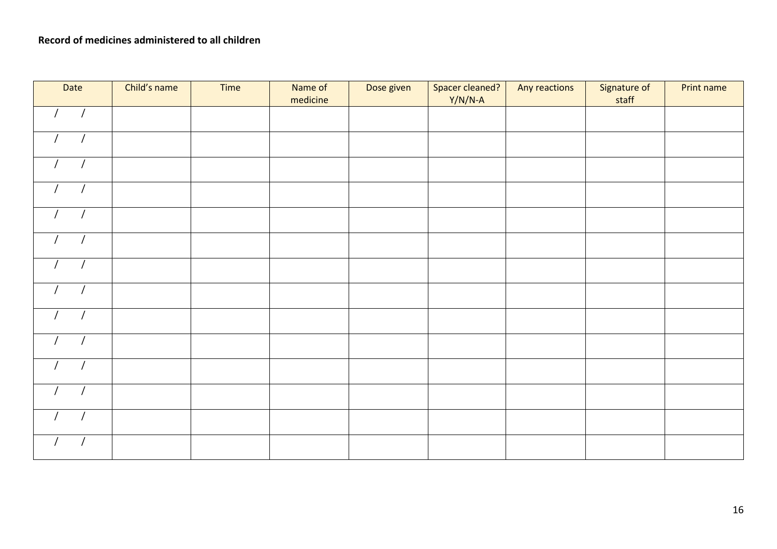| Date                         | Child's name | Time | Name of<br>medicine | Dose given | Spacer cleaned?<br>$Y/N/N-A$ | Any reactions | Signature of<br>staff | Print name |
|------------------------------|--------------|------|---------------------|------------|------------------------------|---------------|-----------------------|------------|
| $\sqrt{2}$<br>$\overline{1}$ |              |      |                     |            |                              |               |                       |            |
| $\overline{1}$<br>$\sqrt{ }$ |              |      |                     |            |                              |               |                       |            |
| $\overline{1}$<br>$\sqrt{ }$ |              |      |                     |            |                              |               |                       |            |
| $\overline{1}$<br>$\sqrt{ }$ |              |      |                     |            |                              |               |                       |            |
| $\prime$<br>$\sqrt{ }$       |              |      |                     |            |                              |               |                       |            |
| $\sqrt{ }$<br>$\sqrt{ }$     |              |      |                     |            |                              |               |                       |            |
| $\sqrt{ }$<br>$\prime$       |              |      |                     |            |                              |               |                       |            |
| $\sqrt{ }$<br>$\sqrt{ }$     |              |      |                     |            |                              |               |                       |            |
| $\sqrt{ }$<br>$\prime$       |              |      |                     |            |                              |               |                       |            |
|                              |              |      |                     |            |                              |               |                       |            |
| $\overline{1}$<br>$\prime$   |              |      |                     |            |                              |               |                       |            |
|                              |              |      |                     |            |                              |               |                       |            |
| $\overline{1}$               |              |      |                     |            |                              |               |                       |            |
|                              |              |      |                     |            |                              |               |                       |            |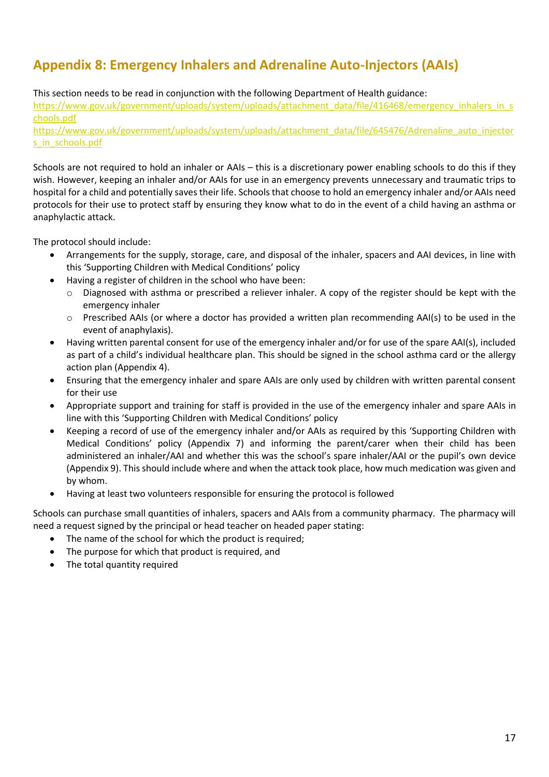## **Appendix 8: Emergency Inhalers and Adrenaline Auto-Injectors (AAIs)**

#### This section needs to be read in conjunction with the following Department of Health guidance:

[https://www.gov.uk/government/uploads/system/uploads/attachment\\_data/file/416468/emergency\\_inhalers\\_in\\_s](https://www.gov.uk/government/uploads/system/uploads/attachment_data/file/416468/emergency_inhalers_in_schools.pdf) [chools.pdf](https://www.gov.uk/government/uploads/system/uploads/attachment_data/file/416468/emergency_inhalers_in_schools.pdf)

[https://www.gov.uk/government/uploads/system/uploads/attachment\\_data/file/645476/Adrenaline\\_auto\\_injector](https://www.gov.uk/government/uploads/system/uploads/attachment_data/file/645476/Adrenaline_auto_injectors_in_schools.pdf) [s\\_in\\_schools.pdf](https://www.gov.uk/government/uploads/system/uploads/attachment_data/file/645476/Adrenaline_auto_injectors_in_schools.pdf)

Schools are not required to hold an inhaler or AAIs – this is a discretionary power enabling schools to do this if they wish. However, keeping an inhaler and/or AAIs for use in an emergency prevents unnecessary and traumatic trips to hospital for a child and potentially saves their life. Schools that choose to hold an emergency inhaler and/or AAIs need protocols for their use to protect staff by ensuring they know what to do in the event of a child having an asthma or anaphylactic attack.

The protocol should include:

- Arrangements for the supply, storage, care, and disposal of the inhaler, spacers and AAI devices, in line with this 'Supporting Children with Medical Conditions' policy
- Having a register of children in the school who have been:
	- o Diagnosed with asthma or prescribed a reliever inhaler. A copy of the register should be kept with the emergency inhaler
	- o Prescribed AAIs (or where a doctor has provided a written plan recommending AAI(s) to be used in the event of anaphylaxis).
- Having written parental consent for use of the emergency inhaler and/or for use of the spare AAI(s), included as part of a child's individual healthcare plan. This should be signed in the school asthma card or the allergy action plan (Appendix 4).
- Ensuring that the emergency inhaler and spare AAIs are only used by children with written parental consent for their use
- Appropriate support and training for staff is provided in the use of the emergency inhaler and spare AAIs in line with this 'Supporting Children with Medical Conditions' policy
- Keeping a record of use of the emergency inhaler and/or AAIs as required by this 'Supporting Children with Medical Conditions' policy (Appendix 7) and informing the parent/carer when their child has been administered an inhaler/AAI and whether this was the school's spare inhaler/AAI or the pupil's own device (Appendix 9). This should include where and when the attack took place, how much medication was given and by whom.
- Having at least two volunteers responsible for ensuring the protocol is followed

Schools can purchase small quantities of inhalers, spacers and AAIs from a community pharmacy. The pharmacy will need a request signed by the principal or head teacher on headed paper stating:

- The name of the school for which the product is required;
- The purpose for which that product is required, and
- The total quantity required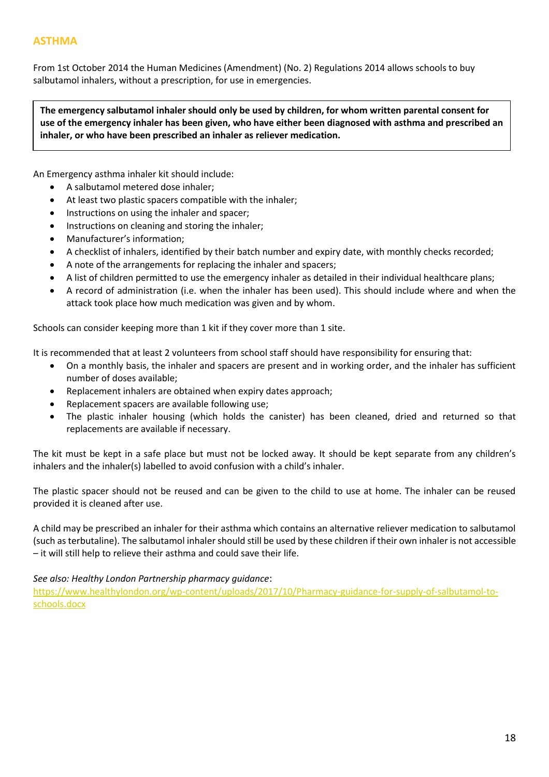From 1st October 2014 the Human Medicines (Amendment) (No. 2) Regulations 2014 allows schools to buy salbutamol inhalers, without a prescription, for use in emergencies.

**The emergency salbutamol inhaler should only be used by children, for whom written parental consent for use of the emergency inhaler has been given, who have either been diagnosed with asthma and prescribed an inhaler, or who have been prescribed an inhaler as reliever medication.**

An Emergency asthma inhaler kit should include:

- A salbutamol metered dose inhaler;
- At least two plastic spacers compatible with the inhaler;
- Instructions on using the inhaler and spacer;
- Instructions on cleaning and storing the inhaler;
- Manufacturer's information;
- A checklist of inhalers, identified by their batch number and expiry date, with monthly checks recorded;
- A note of the arrangements for replacing the inhaler and spacers;
- A list of children permitted to use the emergency inhaler as detailed in their individual healthcare plans;
- A record of administration (i.e. when the inhaler has been used). This should include where and when the attack took place how much medication was given and by whom.

Schools can consider keeping more than 1 kit if they cover more than 1 site.

It is recommended that at least 2 volunteers from school staff should have responsibility for ensuring that:

- On a monthly basis, the inhaler and spacers are present and in working order, and the inhaler has sufficient number of doses available;
- Replacement inhalers are obtained when expiry dates approach;
- Replacement spacers are available following use;
- The plastic inhaler housing (which holds the canister) has been cleaned, dried and returned so that replacements are available if necessary.

The kit must be kept in a safe place but must not be locked away. It should be kept separate from any children's inhalers and the inhaler(s) labelled to avoid confusion with a child's inhaler.

The plastic spacer should not be reused and can be given to the child to use at home. The inhaler can be reused provided it is cleaned after use.

A child may be prescribed an inhaler for their asthma which contains an alternative reliever medication to salbutamol (such as terbutaline). The salbutamol inhaler should still be used by these children if their own inhaler is not accessible – it will still help to relieve their asthma and could save their life.

*See also: Healthy London Partnership pharmacy guidance*:

[https://www.healthylondon.org/wp-content/uploads/2017/10/Pharmacy-guidance-for-supply-of-salbutamol-to](https://protect-eu.mimecast.com/s/U1j_CQ1ZjhkOjKltQZ-vg?domain=healthylondon.org)[schools.docx](https://protect-eu.mimecast.com/s/U1j_CQ1ZjhkOjKltQZ-vg?domain=healthylondon.org)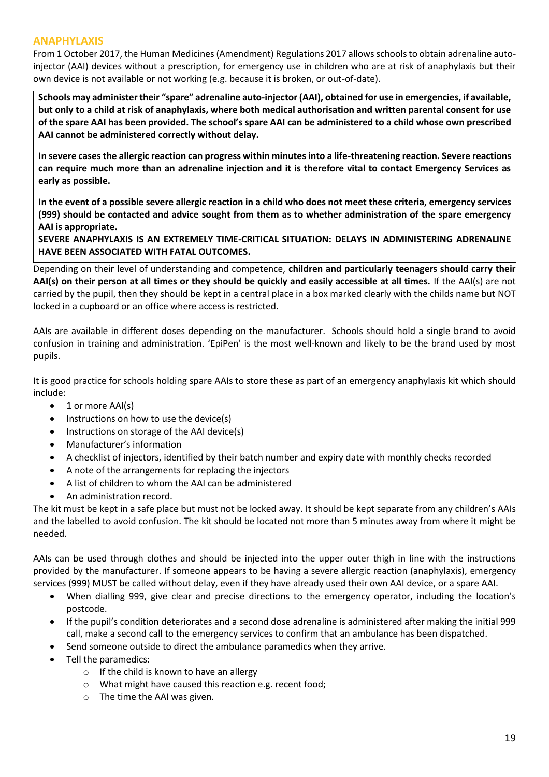#### **ANAPHYLAXIS**

From 1 October 2017, the Human Medicines (Amendment) Regulations 2017 allows schools to obtain adrenaline autoinjector (AAI) devices without a prescription, for emergency use in children who are at risk of anaphylaxis but their own device is not available or not working (e.g. because it is broken, or out-of-date).

**Schools may administer their "spare" adrenaline auto-injector (AAI), obtained for use in emergencies, if available, but only to a child at risk of anaphylaxis, where both medical authorisation and written parental consent for use of the spare AAI has been provided. The school's spare AAI can be administered to a child whose own prescribed AAI cannot be administered correctly without delay.**

**In severe cases the allergic reaction can progress within minutes into a life-threatening reaction. Severe reactions can require much more than an adrenaline injection and it is therefore vital to contact Emergency Services as early as possible.**

**In the event of a possible severe allergic reaction in a child who does not meet these criteria, emergency services (999) should be contacted and advice sought from them as to whether administration of the spare emergency AAI is appropriate.**

**SEVERE ANAPHYLAXIS IS AN EXTREMELY TIME-CRITICAL SITUATION: DELAYS IN ADMINISTERING ADRENALINE HAVE BEEN ASSOCIATED WITH FATAL OUTCOMES.**

Depending on their level of understanding and competence, **children and particularly teenagers should carry their AAI(s) on their person at all times or they should be quickly and easily accessible at all times.** If the AAI(s) are not carried by the pupil, then they should be kept in a central place in a box marked clearly with the childs name but NOT locked in a cupboard or an office where access is restricted.

AAIs are available in different doses depending on the manufacturer. Schools should hold a single brand to avoid confusion in training and administration. 'EpiPen' is the most well-known and likely to be the brand used by most pupils.

It is good practice for schools holding spare AAIs to store these as part of an emergency anaphylaxis kit which should include:

- 1 or more AAI(s)
- Instructions on how to use the device(s)
- Instructions on storage of the AAI device(s)
- Manufacturer's information
- A checklist of injectors, identified by their batch number and expiry date with monthly checks recorded
- A note of the arrangements for replacing the injectors
- A list of children to whom the AAI can be administered
- An administration record.

The kit must be kept in a safe place but must not be locked away. It should be kept separate from any children's AAIs and the labelled to avoid confusion. The kit should be located not more than 5 minutes away from where it might be needed.

AAIs can be used through clothes and should be injected into the upper outer thigh in line with the instructions provided by the manufacturer. If someone appears to be having a severe allergic reaction (anaphylaxis), emergency services (999) MUST be called without delay, even if they have already used their own AAI device, or a spare AAI.

- When dialling 999, give clear and precise directions to the emergency operator, including the location's postcode.
- If the pupil's condition deteriorates and a second dose adrenaline is administered after making the initial 999 call, make a second call to the emergency services to confirm that an ambulance has been dispatched.
- Send someone outside to direct the ambulance paramedics when they arrive.
- Tell the paramedics:
	- $\circ$  If the child is known to have an allergy
	- o What might have caused this reaction e.g. recent food;
	- o The time the AAI was given.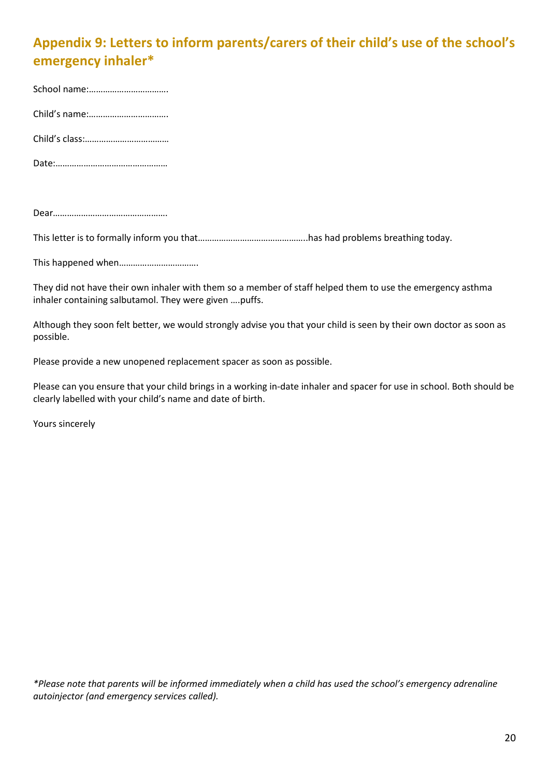## **Appendix 9: Letters to inform parents/carers of their child's use of the school's emergency inhaler\***

School name:……………………………. Child's name:……………………………. Child's class:………………………………

Date:…………………………………………

Dear………………………………………….

This letter is to formally inform you that………………………………………..has had problems breathing today.

This happened when…………………………….

They did not have their own inhaler with them so a member of staff helped them to use the emergency asthma inhaler containing salbutamol. They were given ….puffs.

Although they soon felt better, we would strongly advise you that your child is seen by their own doctor as soon as possible.

Please provide a new unopened replacement spacer as soon as possible.

Please can you ensure that your child brings in a working in-date inhaler and spacer for use in school. Both should be clearly labelled with your child's name and date of birth.

Yours sincerely

*\*Please note that parents will be informed immediately when a child has used the school's emergency adrenaline autoinjector (and emergency services called).*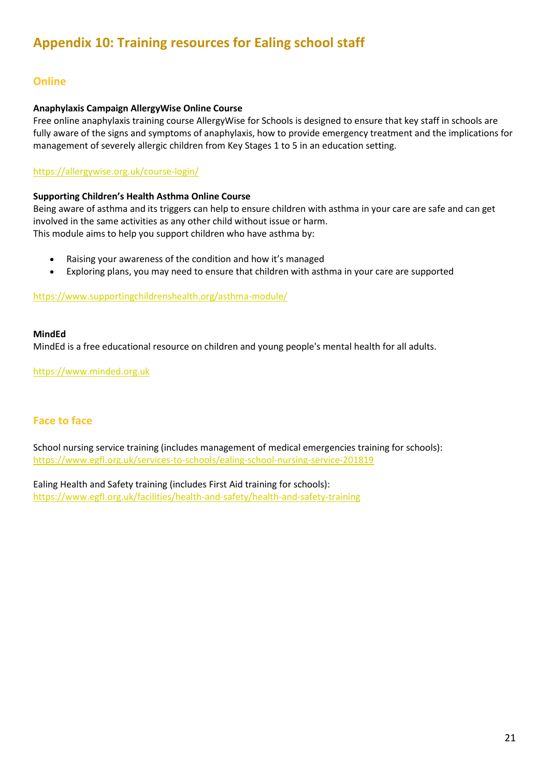#### **Online**

#### **Anaphylaxis Campaign AllergyWise Online Course**

Free online anaphylaxis training course AllergyWise for Schools is designed to ensure that key staff in schools are fully aware of the signs and symptoms of anaphylaxis, how to provide emergency treatment and the implications for management of severely allergic children from Key Stages 1 to 5 in an education setting.

#### <https://allergywise.org.uk/course-login/>

#### **Supporting Children's Health Asthma Online Course**

Being aware of asthma and its triggers can help to ensure children with asthma in your care are safe and can get involved in the same activities as any other child without issue or harm. This module aims to help you support children who have asthma by:

- Raising your awareness of the condition and how it's managed
- Exploring plans, you may need to ensure that children with asthma in your care are supported

<https://www.supportingchildrenshealth.org/asthma-module/>

#### **MindEd**

MindEd is a free educational resource on children and young people's mental health for all adults.

[https://www.minded.org.uk](https://www.minded.org.uk/)

#### **Face to face**

School nursing service training (includes management of medical emergencies training for schools): <https://www.egfl.org.uk/services-to-schools/ealing-school-nursing-service-201819>

Ealing Health and Safety training (includes First Aid training for schools): <https://www.egfl.org.uk/facilities/health-and-safety/health-and-safety-training>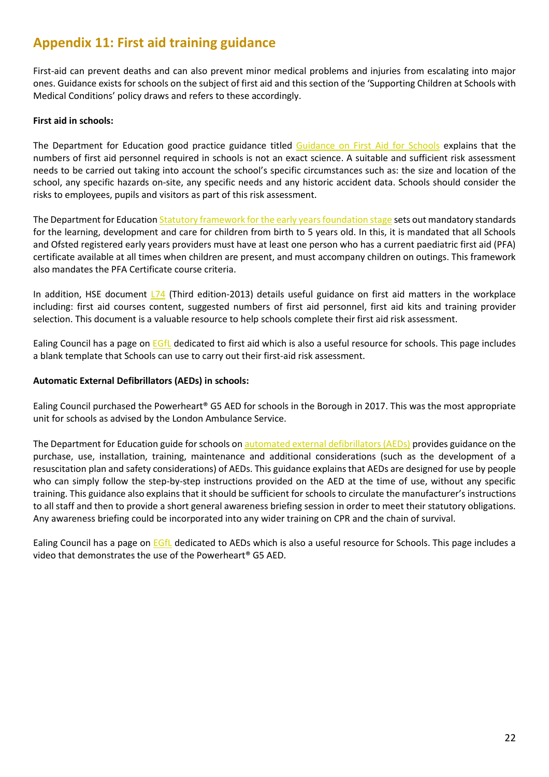### **Appendix 11: First aid training guidance**

First-aid can prevent deaths and can also prevent minor medical problems and injuries from escalating into major ones. Guidance exists for schools on the subject of first aid and this section of the 'Supporting Children at Schools with Medical Conditions' policy draws and refers to these accordingly.

#### **First aid in schools:**

The Department for Education good practice guidance titled [Guidance on First Aid for Schools](https://www.gov.uk/government/publications/first-aid-in-schools) explains that the numbers of first aid personnel required in schools is not an exact science. A suitable and sufficient risk assessment needs to be carried out taking into account the school's specific circumstances such as: the size and location of the school, any specific hazards on-site, any specific needs and any historic accident data. Schools should consider the risks to employees, pupils and visitors as part of this risk assessment.

The Department for Educatio[n Statutory framework for the early years foundation stage](https://www.gov.uk/government/publications/early-years-foundation-stage-framework--2) sets out mandatory standards for the learning, development and care for children from birth to 5 years old. In this, it is mandated that all Schools and Ofsted registered early years providers must have at least one person who has a current paediatric first aid (PFA) certificate available at all times when children are present, and must accompany children on outings. This framework also mandates the PFA Certificate course criteria.

In addition, HSE document  $174$  (Third edition-2013) details useful guidance on first aid matters in the workplace including: first aid courses content, suggested numbers of first aid personnel, first aid kits and training provider selection. This document is a valuable resource to help schools complete their first aid risk assessment.

Ealing Council has a page on [EGfL](https://www.egfl.org.uk/facilities/health-and-safety/first-aid) dedicated to first aid which is also a useful resource for schools. This page includes a blank template that Schools can use to carry out their first-aid risk assessment.

#### **Automatic External Defibrillators (AEDs) in schools:**

Ealing Council purchased the Powerheart® G5 AED for schools in the Borough in 2017. This was the most appropriate unit for schools as advised by the London Ambulance Service.

The Department for Education guide for schools on [automated external defibrillators \(AEDs\)](https://www.gov.uk/government/publications/automated-external-defibrillators-aeds-in-schools) provides guidance on the purchase, use, installation, training, maintenance and additional considerations (such as the development of a resuscitation plan and safety considerations) of AEDs. This guidance explains that AEDs are designed for use by people who can simply follow the step-by-step instructions provided on the AED at the time of use, without any specific training. This guidance also explains that it should be sufficient for schools to circulate the manufacturer's instructions to all staff and then to provide a short general awareness briefing session in order to meet their statutory obligations. Any awareness briefing could be incorporated into any wider training on CPR and the chain of survival.

Ealing Council has a page on **EGfL** dedicated to AEDs which is also a useful resource for Schools. This page includes a video that demonstrates the use of the Powerheart® G5 AED.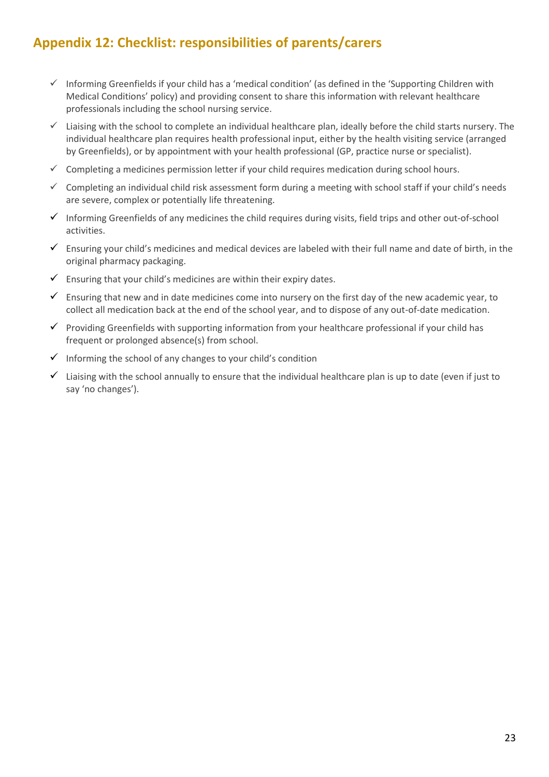## **Appendix 12: Checklist: responsibilities of parents/carers**

- ✓ Informing Greenfields if your child has a 'medical condition' (as defined in the 'Supporting Children with Medical Conditions' policy) and providing consent to share this information with relevant healthcare professionals including the school nursing service.
- ✓ Liaising with the school to complete an individual healthcare plan, ideally before the child starts nursery. The individual healthcare plan requires health professional input, either by the health visiting service (arranged by Greenfields), or by appointment with your health professional (GP, practice nurse or specialist).
- $\checkmark$  Completing a medicines permission letter if your child requires medication during school hours.
- ✓ Completing an individual child risk assessment form during a meeting with school staff if your child's needs are severe, complex or potentially life threatening.
- ✓ Informing Greenfields of any medicines the child requires during visits, field trips and other out-of-school activities.
- $\checkmark$  Ensuring your child's medicines and medical devices are labeled with their full name and date of birth, in the original pharmacy packaging.
- $\checkmark$  Ensuring that your child's medicines are within their expiry dates.
- $\checkmark$  Ensuring that new and in date medicines come into nursery on the first day of the new academic year, to collect all medication back at the end of the school year, and to dispose of any out-of-date medication.
- ✓ Providing Greenfields with supporting information from your healthcare professional if your child has frequent or prolonged absence(s) from school.
- $\checkmark$  Informing the school of any changes to your child's condition
- $\checkmark$  Liaising with the school annually to ensure that the individual healthcare plan is up to date (even if just to say 'no changes').